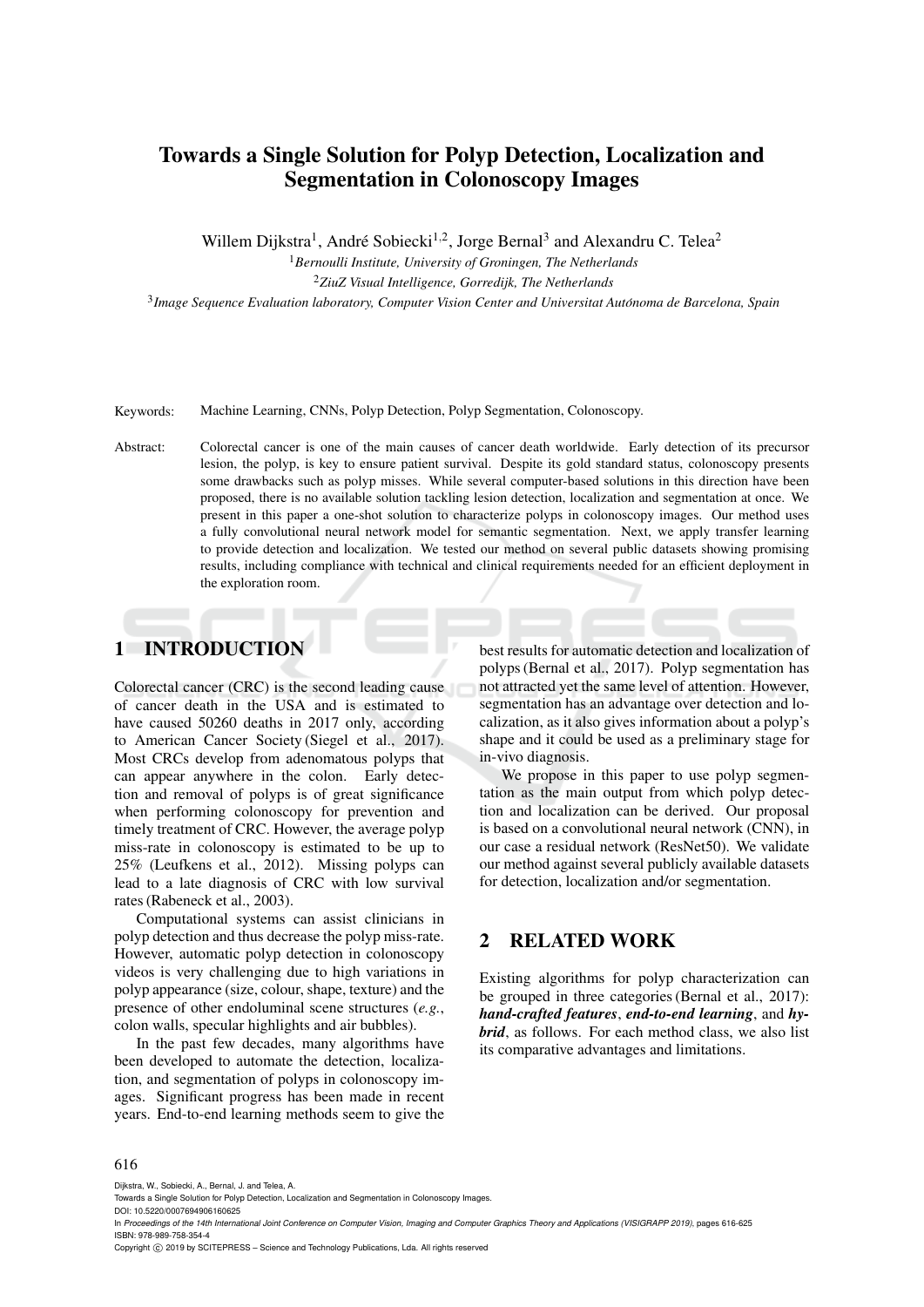# Towards a Single Solution for Polyp Detection, Localization and Segmentation in Colonoscopy Images

Willem Dijkstra<sup>1</sup>, André Sobiecki<sup>1,2</sup>, Jorge Bernal<sup>3</sup> and Alexandru C. Telea<sup>2</sup>

<sup>1</sup>*Bernoulli Institute, University of Groningen, The Netherlands* <sup>2</sup>*ZiuZ Visual Intelligence, Gorredijk, The Netherlands* 3 *Image Sequence Evaluation laboratory, Computer Vision Center and Universitat Autonoma de Barcelona, Spain ´*

Keywords: Machine Learning, CNNs, Polyp Detection, Polyp Segmentation, Colonoscopy.

Abstract: Colorectal cancer is one of the main causes of cancer death worldwide. Early detection of its precursor lesion, the polyp, is key to ensure patient survival. Despite its gold standard status, colonoscopy presents some drawbacks such as polyp misses. While several computer-based solutions in this direction have been proposed, there is no available solution tackling lesion detection, localization and segmentation at once. We present in this paper a one-shot solution to characterize polyps in colonoscopy images. Our method uses a fully convolutional neural network model for semantic segmentation. Next, we apply transfer learning to provide detection and localization. We tested our method on several public datasets showing promising results, including compliance with technical and clinical requirements needed for an efficient deployment in the exploration room.

# 1 INTRODUCTION

Colorectal cancer (CRC) is the second leading cause of cancer death in the USA and is estimated to have caused 50260 deaths in 2017 only, according to American Cancer Society (Siegel et al., 2017). Most CRCs develop from adenomatous polyps that can appear anywhere in the colon. Early detection and removal of polyps is of great significance when performing colonoscopy for prevention and timely treatment of CRC. However, the average polyp miss-rate in colonoscopy is estimated to be up to 25% (Leufkens et al., 2012). Missing polyps can lead to a late diagnosis of CRC with low survival rates (Rabeneck et al., 2003).

Computational systems can assist clinicians in polyp detection and thus decrease the polyp miss-rate. However, automatic polyp detection in colonoscopy videos is very challenging due to high variations in polyp appearance (size, colour, shape, texture) and the presence of other endoluminal scene structures (*e.g.*, colon walls, specular highlights and air bubbles).

In the past few decades, many algorithms have been developed to automate the detection, localization, and segmentation of polyps in colonoscopy images. Significant progress has been made in recent years. End-to-end learning methods seem to give the best results for automatic detection and localization of polyps (Bernal et al., 2017). Polyp segmentation has not attracted yet the same level of attention. However, segmentation has an advantage over detection and localization, as it also gives information about a polyp's shape and it could be used as a preliminary stage for in-vivo diagnosis.

We propose in this paper to use polyp segmentation as the main output from which polyp detection and localization can be derived. Our proposal is based on a convolutional neural network (CNN), in our case a residual network (ResNet50). We validate our method against several publicly available datasets for detection, localization and/or segmentation.

# 2 RELATED WORK

Existing algorithms for polyp characterization can be grouped in three categories (Bernal et al., 2017): *hand-crafted features*, *end-to-end learning*, and *hybrid*, as follows. For each method class, we also list its comparative advantages and limitations.

#### 616

ISBN: 978-989-758-354-4

Dijkstra, W., Sobiecki, A., Bernal, J. and Telea, A.

Towards a Single Solution for Polyp Detection, Localization and Segmentation in Colonoscopy Images.

DOI: 10.5220/0007694906160625 In *Proceedings of the 14th International Joint Conference on Computer Vision, Imaging and Computer Graphics Theory and Applications (VISIGRAPP 2019)*, pages 616-625

Copyright © 2019 by SCITEPRESS - Science and Technology Publications, Lda. All rights reserved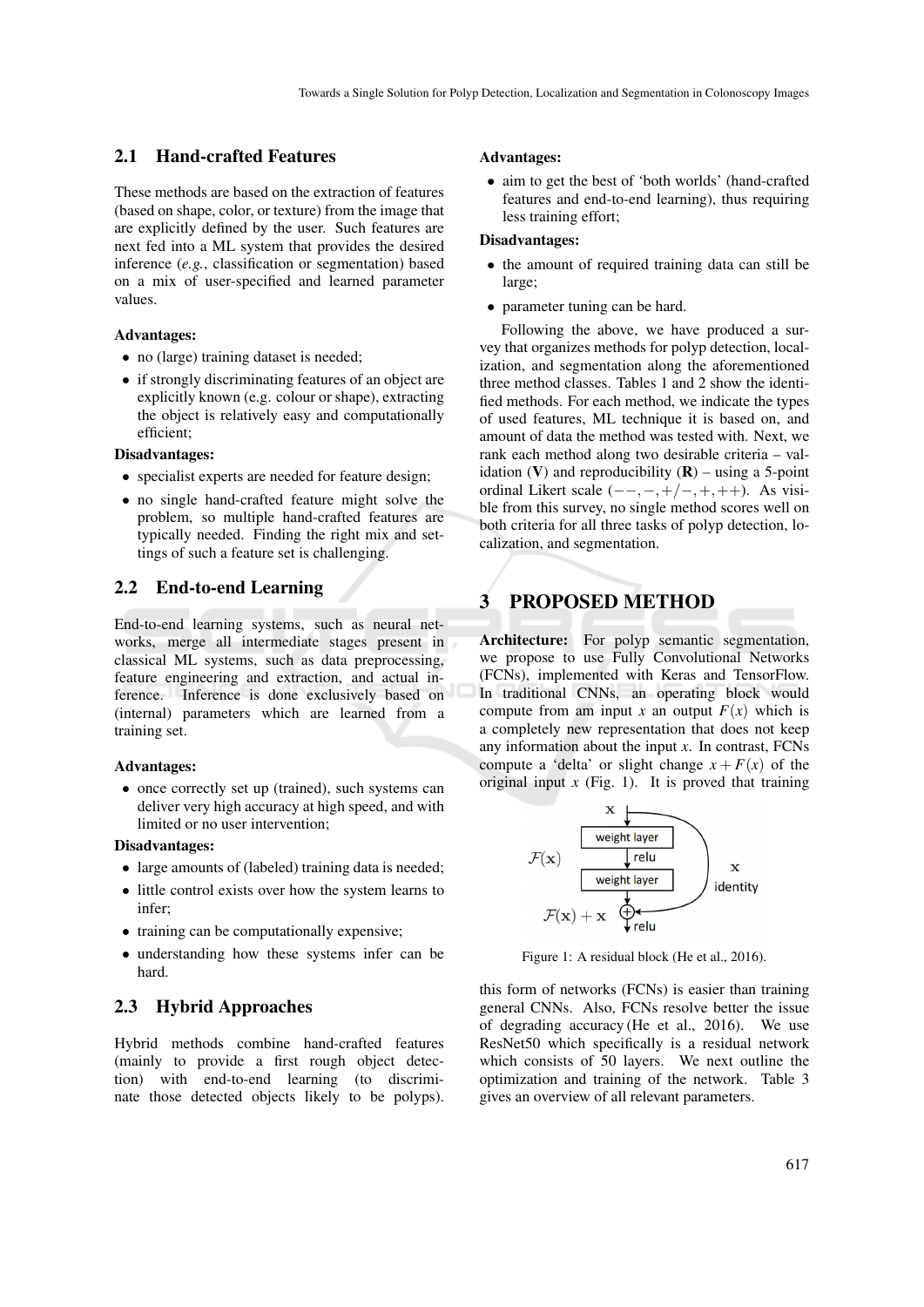### 2.1 Hand-crafted Features

These methods are based on the extraction of features (based on shape, color, or texture) from the image that are explicitly defined by the user. Such features are next fed into a ML system that provides the desired inference (*e.g.*, classification or segmentation) based on a mix of user-specified and learned parameter values.

### Advantages:

- no (large) training dataset is needed;
- if strongly discriminating features of an object are explicitly known (e.g. colour or shape), extracting the object is relatively easy and computationally efficient;

#### Disadvantages:

- specialist experts are needed for feature design;
- no single hand-crafted feature might solve the problem, so multiple hand-crafted features are typically needed. Finding the right mix and settings of such a feature set is challenging.

### 2.2 End-to-end Learning

End-to-end learning systems, such as neural networks, merge all intermediate stages present in classical ML systems, such as data preprocessing, feature engineering and extraction, and actual inference. Inference is done exclusively based on (internal) parameters which are learned from a training set.

#### Advantages:

• once correctly set up (trained), such systems can deliver very high accuracy at high speed, and with limited or no user intervention;

#### Disadvantages:

- large amounts of (labeled) training data is needed;
- little control exists over how the system learns to infer;
- training can be computationally expensive;
- understanding how these systems infer can be hard.

### 2.3 Hybrid Approaches

Hybrid methods combine hand-crafted features (mainly to provide a first rough object detection) with end-to-end learning (to discriminate those detected objects likely to be polyps).

#### Advantages:

• aim to get the best of 'both worlds' (hand-crafted features and end-to-end learning), thus requiring less training effort;

#### Disadvantages:

- the amount of required training data can still be large;
- parameter tuning can be hard.

Following the above, we have produced a survey that organizes methods for polyp detection, localization, and segmentation along the aforementioned three method classes. Tables 1 and 2 show the identified methods. For each method, we indicate the types of used features, ML technique it is based on, and amount of data the method was tested with. Next, we rank each method along two desirable criteria – validation (V) and reproducibility  $(R)$  – using a 5-point ordinal Likert scale  $(--,+,+/-,+,++)$ . As visible from this survey, no single method scores well on both criteria for all three tasks of polyp detection, localization, and segmentation.

# 3 PROPOSED METHOD

Architecture: For polyp semantic segmentation, we propose to use Fully Convolutional Networks (FCNs), implemented with Keras and TensorFlow. In traditional CNNs, an operating block would compute from am input *x* an output  $F(x)$  which is a completely new representation that does not keep any information about the input *x*. In contrast, FCNs compute a 'delta' or slight change  $x + F(x)$  of the original input  $x$  (Fig. 1). It is proved that training



Figure 1: A residual block (He et al., 2016).

this form of networks (FCNs) is easier than training general CNNs. Also, FCNs resolve better the issue of degrading accuracy (He et al., 2016). We use ResNet50 which specifically is a residual network which consists of 50 layers. We next outline the optimization and training of the network. Table 3 gives an overview of all relevant parameters.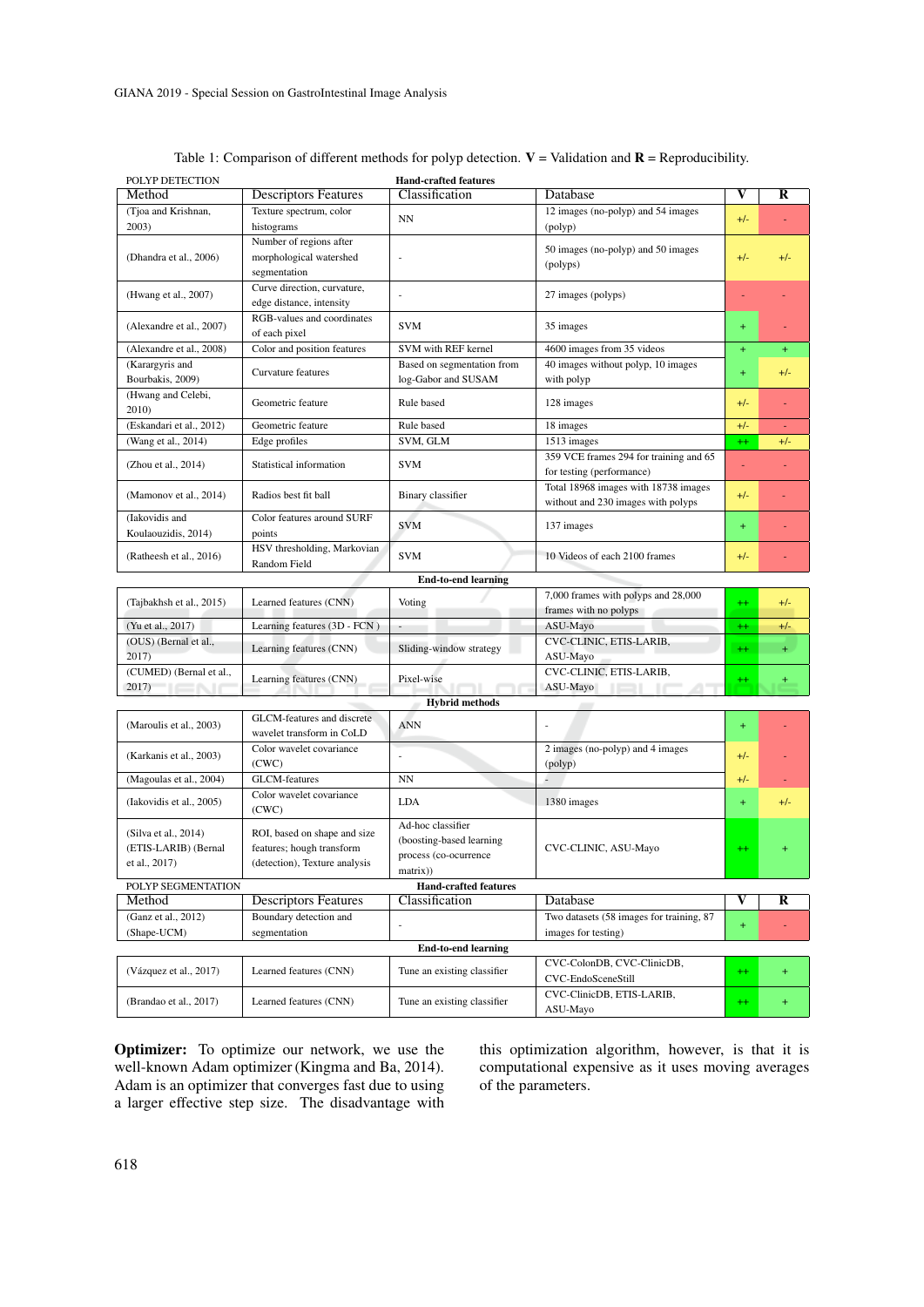| POLYP DETECTION                     |                                             | <b>Hand-crafted features</b>                      |                                                  |         |           |
|-------------------------------------|---------------------------------------------|---------------------------------------------------|--------------------------------------------------|---------|-----------|
| Method                              | <b>Descriptors Features</b>                 | Classification                                    | Database                                         | V       | R         |
| (Tjoa and Krishnan,<br>2003)        | Texture spectrum, color<br>histograms       | NN                                                | 12 images (no-polyp) and 54 images               | $+/-$   |           |
|                                     | Number of regions after                     |                                                   | (polyp)                                          |         |           |
| (Dhandra et al., 2006)              | morphological watershed                     | ÷,                                                | 50 images (no-polyp) and 50 images               | $+/-$   | $+/-$     |
|                                     | segmentation                                |                                                   | (polyps)                                         |         |           |
|                                     | Curve direction, curvature,                 |                                                   |                                                  |         |           |
| (Hwang et al., 2007)                | edge distance, intensity                    |                                                   | 27 images (polyps)                               | ÷,      |           |
| (Alexandre et al., 2007)            | RGB-values and coordinates<br>of each pixel | <b>SVM</b>                                        | 35 images                                        | $+$     |           |
| (Alexandre et al., 2008)            | Color and position features                 | SVM with REF kernel                               | 4600 images from 35 videos                       | $+$     | $+$       |
| (Karargyris and<br>Bourbakis, 2009) | Curvature features                          | Based on segmentation from<br>log-Gabor and SUSAM | 40 images without polyp, 10 images<br>with polyp | $+$     | $+/-$     |
| (Hwang and Celebi,                  |                                             |                                                   |                                                  |         |           |
| 2010)                               | Geometric feature                           | Rule based                                        | 128 images                                       | $+/-$   |           |
| (Eskandari et al., 2012)            | Geometric feature                           | Rule based                                        | 18 images                                        | $+/-$   | ÷         |
| (Wang et al., 2014)                 | Edge profiles                               | SVM, GLM                                          | 1513 images                                      | $++$    | $+/-$     |
| (Zhou et al., 2014)                 | Statistical information                     | <b>SVM</b>                                        | 359 VCE frames 294 for training and 65           | ÷,      |           |
|                                     |                                             |                                                   | for testing (performance)                        |         |           |
| (Mamonov et al., 2014)              | Radios best fit ball                        | Binary classifier                                 | Total 18968 images with 18738 images             | $+/-$   |           |
|                                     |                                             |                                                   | without and 230 images with polyps               |         |           |
| (Iakovidis and                      | Color features around SURF                  | SVM                                               |                                                  | $+$     |           |
| Koulaouzidis, 2014)                 | points                                      | 137 images                                        |                                                  |         |           |
| (Ratheesh et al., 2016)             | HSV thresholding, Markovian<br>Random Field | <b>SVM</b>                                        | 10 Videos of each 2100 frames                    | $+/-$   |           |
|                                     |                                             | <b>End-to-end learning</b>                        |                                                  |         |           |
|                                     |                                             |                                                   | 7,000 frames with polyps and 28,000              |         |           |
| (Tajbakhsh et al., 2015)            | Learned features (CNN)                      | Voting                                            | frames with no polyps                            | $++$    | $+/-$     |
| (Yu et al., 2017)                   | Learning features (3D - FCN)                |                                                   | ASU-Mayo                                         | $^{++}$ | $+/-$     |
| (OUS) (Bernal et al.,               | Learning features (CNN)                     | Sliding-window strategy                           | CVC-CLINIC, ETIS-LARIB,                          | $++$    | $+$       |
| 2017)                               |                                             |                                                   | ASU-Mayo                                         |         |           |
| (CUMED) (Bernal et al.,             | Learning features (CNN)<br>Pixel-wise       |                                                   | CVC-CLINIC, ETIS-LARIB,                          | $^{++}$ | $\ddot{}$ |
| 2017)<br>71 C N                     |                                             |                                                   | ASU-Mayo<br>IEL IC<br>4 T                        |         |           |
|                                     |                                             | <b>Hybrid methods</b>                             |                                                  |         |           |
| (Maroulis et al., 2003)             | GLCM-features and discrete                  | <b>ANN</b>                                        |                                                  | $+$     |           |
|                                     | wavelet transform in CoLD                   |                                                   |                                                  |         |           |
| (Karkanis et al., 2003)             | Color wavelet covariance                    |                                                   | 2 images (no-polyp) and 4 images                 | $+/-$   |           |
|                                     | (CWC)<br><b>GLCM-features</b>               | <b>NN</b>                                         | (polyp)<br>L                                     | $+/-$   |           |
| (Magoulas et al., 2004)             | Color wavelet covariance                    |                                                   |                                                  |         | ٠         |
| (Iakovidis et al., 2005)            | (CWC)                                       | <b>LDA</b>                                        | 1380 images                                      | $+$     | $+/-$     |
| (Silva et al., 2014)                | ROI, based on shape and size                | Ad-hoc classifier                                 |                                                  |         |           |
| (ETIS-LARIB) (Bernal                | features; hough transform                   | (boosting-based learning                          | CVC-CLINIC, ASU-Mayo                             | $^{++}$ | $\pm$     |
| et al., 2017)                       | (detection), Texture analysis               | process (co-ocurrence                             |                                                  |         |           |
|                                     |                                             | matrix))                                          |                                                  |         |           |
| POLYP SEGMENTATION                  |                                             | <b>Hand-crafted features</b>                      |                                                  |         |           |
| Method                              | <b>Descriptors Features</b>                 | Classification                                    | Database                                         | V       | R         |
| (Ganz et al., 2012)                 | Boundary detection and                      |                                                   | Two datasets (58 images for training, 87         | $+$     |           |
| (Shape-UCM)                         | segmentation                                |                                                   | images for testing)                              |         |           |
|                                     |                                             | <b>End-to-end learning</b>                        |                                                  |         |           |
| (Vázquez et al., 2017)              | Learned features (CNN)                      | Tune an existing classifier                       | CVC-ColonDB, CVC-ClinicDB,<br>CVC-EndoSceneStill | $^{++}$ | $+$       |
| (Brandao et al., 2017)              | Learned features (CNN)                      | Tune an existing classifier                       | CVC-ClinicDB, ETIS-LARIB,                        | $^{++}$ |           |
|                                     |                                             |                                                   | ASU-Mayo                                         |         | $\pm$     |

Table 1: Comparison of different methods for polyp detection.  $V =$  Validation and  $R =$  Reproducibility.

Optimizer: To optimize our network, we use the well-known Adam optimizer (Kingma and Ba, 2014). Adam is an optimizer that converges fast due to using a larger effective step size. The disadvantage with this optimization algorithm, however, is that it is computational expensive as it uses moving averages of the parameters.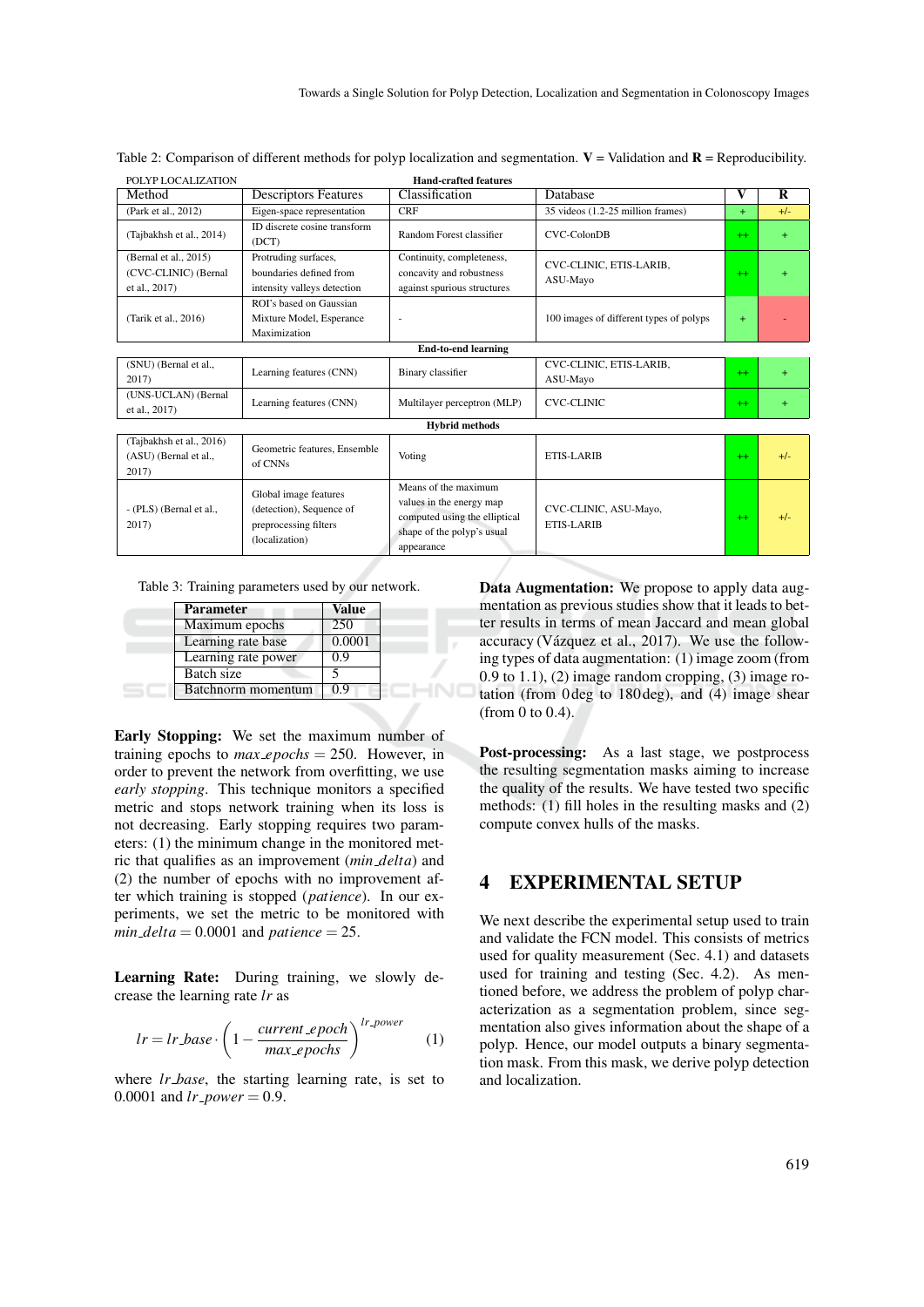| <b>Hand-crafted features</b><br>POLYP LOCALIZATION             |                                                                                              |                                                                                                                 |                                         |      |       |  |  |  |
|----------------------------------------------------------------|----------------------------------------------------------------------------------------------|-----------------------------------------------------------------------------------------------------------------|-----------------------------------------|------|-------|--|--|--|
| Method                                                         | <b>Descriptors Features</b>                                                                  | Classification                                                                                                  | Database                                | V    | R     |  |  |  |
| (Park et al., 2012)                                            | Eigen-space representation                                                                   | <b>CRF</b>                                                                                                      | 35 videos (1.2-25 million frames)       | $+$  | $+/-$ |  |  |  |
| (Tajbakhsh et al., 2014)                                       | ID discrete cosine transform<br>(DCT)                                                        | Random Forest classifier                                                                                        | CVC-ColonDB                             | $+$  | $+$   |  |  |  |
| (Bernal et al., 2015)<br>(CVC-CLINIC) (Bernal<br>et al., 2017) | Protruding surfaces,<br>boundaries defined from<br>intensity valleys detection               | Continuity, completeness,<br>concavity and robustness<br>against spurious structures                            | CVC-CLINIC, ETIS-LARIB,<br>ASU-Mayo     | $++$ | $+$   |  |  |  |
| (Tarik et al., 2016)                                           | ROI's based on Gaussian<br>Mixture Model, Esperance<br>Maximization                          | ٠                                                                                                               | 100 images of different types of polyps | $+$  |       |  |  |  |
|                                                                |                                                                                              | <b>End-to-end learning</b>                                                                                      |                                         |      |       |  |  |  |
| (SNU) (Bernal et al.,<br>2017)                                 | Learning features (CNN)                                                                      | Binary classifier                                                                                               | CVC-CLINIC, ETIS-LARIB,<br>ASU-Mayo     | $++$ | $+$   |  |  |  |
| (UNS-UCLAN) (Bernal<br>et al., 2017)                           | Learning features (CNN)                                                                      | Multilayer perceptron (MLP)                                                                                     | <b>CVC-CLINIC</b>                       | $+$  | $+$   |  |  |  |
|                                                                |                                                                                              | <b>Hybrid methods</b>                                                                                           |                                         |      |       |  |  |  |
| (Tajbakhsh et al., 2016)<br>(ASU) (Bernal et al.,<br>2017)     | Geometric features, Ensemble<br>of CNNs                                                      | Voting                                                                                                          | ETIS-LARIB                              | $+$  | $+/-$ |  |  |  |
| - (PLS) (Bernal et al.,<br>2017)                               | Global image features<br>(detection), Sequence of<br>preprocessing filters<br>(localization) | Means of the maximum<br>values in the energy map<br>computed using the elliptical<br>shape of the polyp's usual | CVC-CLINIC, ASU-Mayo,<br>ETIS-LARIB     | $++$ | $+/-$ |  |  |  |

appearance

Table 2: Comparison of different methods for polyp localization and segmentation.  $V =$  Validation and  $R =$  Reproducibility.

Table 3: Training parameters used by our network.

| <b>Parameter</b>    | Value  |  |
|---------------------|--------|--|
| Maximum epochs      | 250    |  |
| Learning rate base  | 0.0001 |  |
| Learning rate power | 0.9    |  |
| Batch size          |        |  |
| Batchnorm momentum  | 0.9    |  |

Early Stopping: We set the maximum number of training epochs to  $max_e p \circ c$  = 250. However, in order to prevent the network from overfitting, we use *early stopping*. This technique monitors a specified metric and stops network training when its loss is not decreasing. Early stopping requires two parameters: (1) the minimum change in the monitored metric that qualifies as an improvement (*min delta*) and (2) the number of epochs with no improvement after which training is stopped (*patience*). In our experiments, we set the metric to be monitored with *min\_delta* =  $0.0001$  and *patience* = 25.

Learning Rate: During training, we slowly decrease the learning rate *lr* as

$$
lr = lr\_base \cdot \left(1 - \frac{current\_epoch}{max\_epochs}\right)^{lr\_power} \tag{1}
$$

where *lr base*, the starting learning rate, is set to 0.0001 and  $lr\_power = 0.9$ .

Data Augmentation: We propose to apply data augmentation as previous studies show that it leads to better results in terms of mean Jaccard and mean global accuracy (Vázquez et al.,  $2017$ ). We use the following types of data augmentation: (1) image zoom (from 0.9 to 1.1), (2) image random cropping, (3) image rotation (from 0 deg to 180 deg), and (4) image shear (from 0 to 0.4).

Post-processing: As a last stage, we postprocess the resulting segmentation masks aiming to increase the quality of the results. We have tested two specific methods: (1) fill holes in the resulting masks and (2) compute convex hulls of the masks.

## 4 EXPERIMENTAL SETUP

We next describe the experimental setup used to train and validate the FCN model. This consists of metrics used for quality measurement (Sec. 4.1) and datasets used for training and testing (Sec. 4.2). As mentioned before, we address the problem of polyp characterization as a segmentation problem, since segmentation also gives information about the shape of a polyp. Hence, our model outputs a binary segmentation mask. From this mask, we derive polyp detection and localization.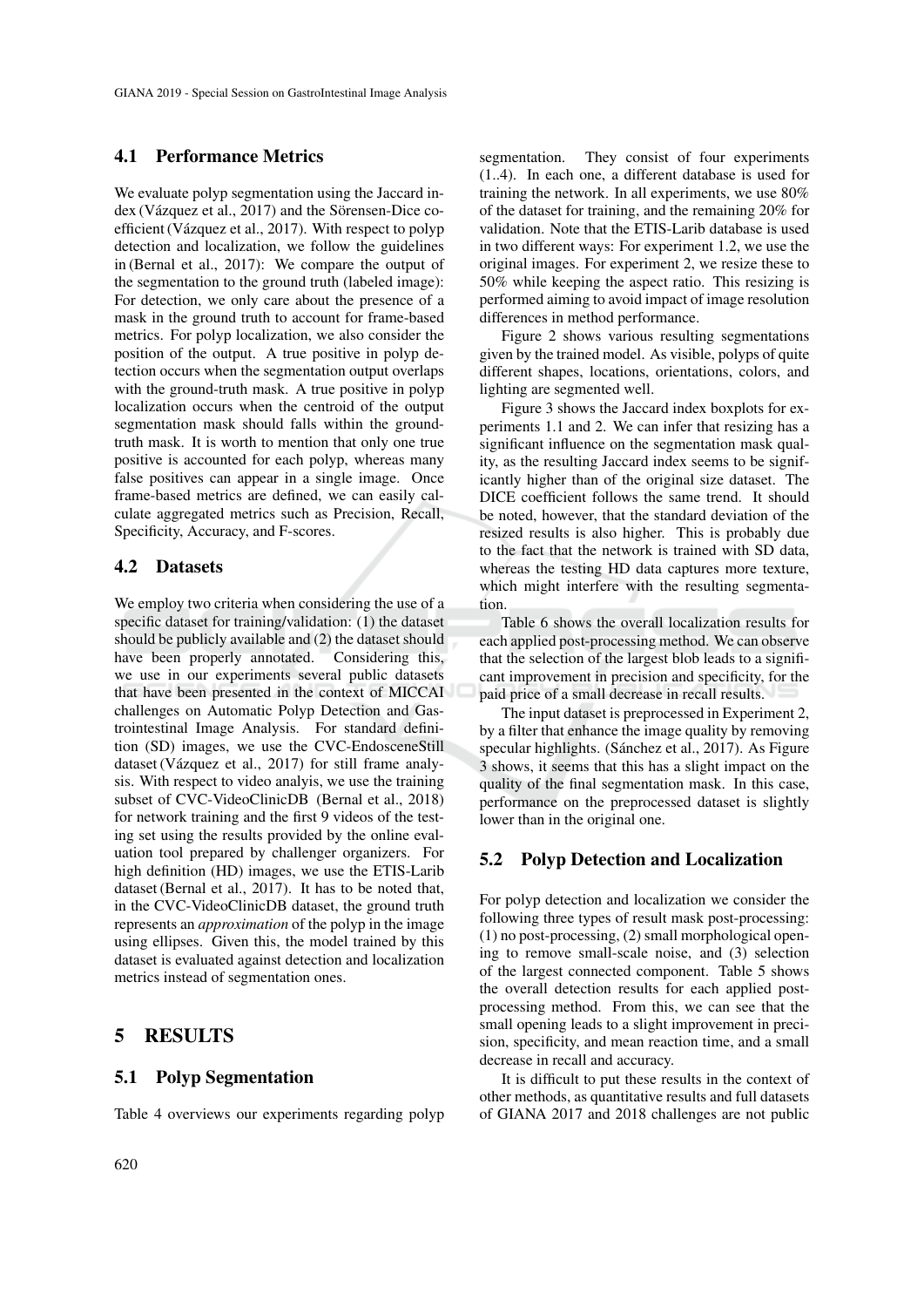### 4.1 Performance Metrics

We evaluate polyp segmentation using the Jaccard index (Vázquez et al., 2017) and the Sörensen-Dice coefficient (Vázquez et al., 2017). With respect to polyp detection and localization, we follow the guidelines in (Bernal et al., 2017): We compare the output of the segmentation to the ground truth (labeled image): For detection, we only care about the presence of a mask in the ground truth to account for frame-based metrics. For polyp localization, we also consider the position of the output. A true positive in polyp detection occurs when the segmentation output overlaps with the ground-truth mask. A true positive in polyp localization occurs when the centroid of the output segmentation mask should falls within the groundtruth mask. It is worth to mention that only one true positive is accounted for each polyp, whereas many false positives can appear in a single image. Once frame-based metrics are defined, we can easily calculate aggregated metrics such as Precision, Recall, Specificity, Accuracy, and F-scores.

### 4.2 Datasets

We employ two criteria when considering the use of a specific dataset for training/validation: (1) the dataset should be publicly available and (2) the dataset should have been properly annotated. Considering this, we use in our experiments several public datasets that have been presented in the context of MICCAI challenges on Automatic Polyp Detection and Gastrointestinal Image Analysis. For standard definition (SD) images, we use the CVC-EndosceneStill dataset (Vázquez et al., 2017) for still frame analysis. With respect to video analyis, we use the training subset of CVC-VideoClinicDB (Bernal et al., 2018) for network training and the first 9 videos of the testing set using the results provided by the online evaluation tool prepared by challenger organizers. For high definition (HD) images, we use the ETIS-Larib dataset (Bernal et al., 2017). It has to be noted that, in the CVC-VideoClinicDB dataset, the ground truth represents an *approximation* of the polyp in the image using ellipses. Given this, the model trained by this dataset is evaluated against detection and localization metrics instead of segmentation ones.

## 5 RESULTS

## 5.1 Polyp Segmentation

Table 4 overviews our experiments regarding polyp

segmentation. They consist of four experiments (1..4). In each one, a different database is used for training the network. In all experiments, we use 80% of the dataset for training, and the remaining 20% for validation. Note that the ETIS-Larib database is used in two different ways: For experiment 1.2, we use the original images. For experiment 2, we resize these to 50% while keeping the aspect ratio. This resizing is performed aiming to avoid impact of image resolution differences in method performance.

Figure 2 shows various resulting segmentations given by the trained model. As visible, polyps of quite different shapes, locations, orientations, colors, and lighting are segmented well.

Figure 3 shows the Jaccard index boxplots for experiments 1.1 and 2. We can infer that resizing has a significant influence on the segmentation mask quality, as the resulting Jaccard index seems to be significantly higher than of the original size dataset. The DICE coefficient follows the same trend. It should be noted, however, that the standard deviation of the resized results is also higher. This is probably due to the fact that the network is trained with SD data, whereas the testing HD data captures more texture, which might interfere with the resulting segmentation.

Table 6 shows the overall localization results for each applied post-processing method. We can observe that the selection of the largest blob leads to a significant improvement in precision and specificity, for the paid price of a small decrease in recall results.

The input dataset is preprocessed in Experiment 2, by a filter that enhance the image quality by removing specular highlights. (Sánchez et al., 2017). As Figure 3 shows, it seems that this has a slight impact on the quality of the final segmentation mask. In this case, performance on the preprocessed dataset is slightly lower than in the original one.

## 5.2 Polyp Detection and Localization

For polyp detection and localization we consider the following three types of result mask post-processing: (1) no post-processing, (2) small morphological opening to remove small-scale noise, and (3) selection of the largest connected component. Table 5 shows the overall detection results for each applied postprocessing method. From this, we can see that the small opening leads to a slight improvement in precision, specificity, and mean reaction time, and a small decrease in recall and accuracy.

It is difficult to put these results in the context of other methods, as quantitative results and full datasets of GIANA 2017 and 2018 challenges are not public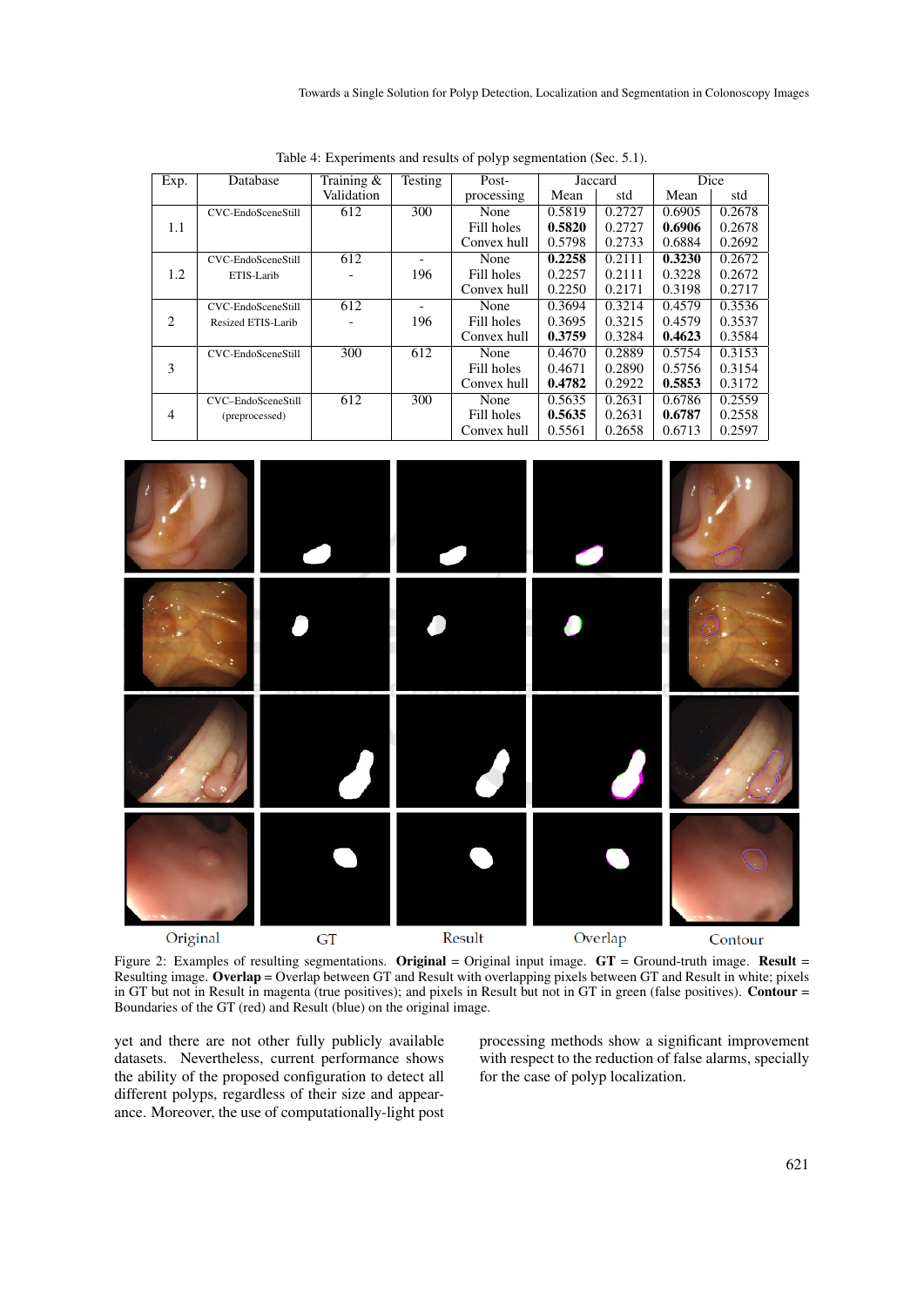| Exp.           | Database           | Training $&$ | Testing                  | Post-       | Jaccard |        | Dice   |        |
|----------------|--------------------|--------------|--------------------------|-------------|---------|--------|--------|--------|
|                |                    | Validation   |                          | processing  | Mean    | std    | Mean   | std    |
|                | CVC-EndoSceneStill | 612          | 300                      | None        | 0.5819  | 0.2727 | 0.6905 | 0.2678 |
| 1.1            |                    |              |                          | Fill holes  | 0.5820  | 0.2727 | 0.6906 | 0.2678 |
|                |                    |              |                          | Convex hull | 0.5798  | 0.2733 | 0.6884 | 0.2692 |
|                | CVC-EndoSceneStill | 612          |                          | None        | 0.2258  | 0.2111 | 0.3230 | 0.2672 |
| 1.2            | ETIS-Larib         |              | 196                      | Fill holes  | 0.2257  | 0.2111 | 0.3228 | 0.2672 |
|                |                    |              |                          | Convex hull | 0.2250  | 0.2171 | 0.3198 | 0.2717 |
|                | CVC-EndoSceneStill | 612          | $\overline{\phantom{0}}$ | None        | 0.3694  | 0.3214 | 0.4579 | 0.3536 |
| 2              | Resized ETIS-Larib |              | 196                      | Fill holes  | 0.3695  | 0.3215 | 0.4579 | 0.3537 |
|                |                    |              |                          | Convex hull | 0.3759  | 0.3284 | 0.4623 | 0.3584 |
|                | CVC-EndoSceneStill | 300          | 612                      | None        | 0.4670  | 0.2889 | 0.5754 | 0.3153 |
| 3              |                    |              |                          | Fill holes  | 0.4671  | 0.2890 | 0.5756 | 0.3154 |
|                |                    |              |                          | Convex hull | 0.4782  | 0.2922 | 0.5853 | 0.3172 |
|                | CVC-EndoSceneStill | 612          | 300                      | None        | 0.5635  | 0.2631 | 0.6786 | 0.2559 |
| $\overline{4}$ | (preprocessed)     |              |                          | Fill holes  | 0.5635  | 0.2631 | 0.6787 | 0.2558 |
|                |                    |              |                          | Convex hull | 0.5561  | 0.2658 | 0.6713 | 0.2597 |

Table 4: Experiments and results of polyp segmentation (Sec. 5.1).



Figure 2: Examples of resulting segmentations. Original = Original input image.  $GT =$  Ground-truth image. Result = Resulting image. Overlap = Overlap between GT and Result with overlapping pixels between GT and Result in white; pixels in GT but not in Result in magenta (true positives); and pixels in Result but not in GT in green (false positives). Contour = Boundaries of the GT (red) and Result (blue) on the original image.

yet and there are not other fully publicly available datasets. Nevertheless, current performance shows the ability of the proposed configuration to detect all different polyps, regardless of their size and appearance. Moreover, the use of computationally-light post processing methods show a significant improvement with respect to the reduction of false alarms, specially for the case of polyp localization.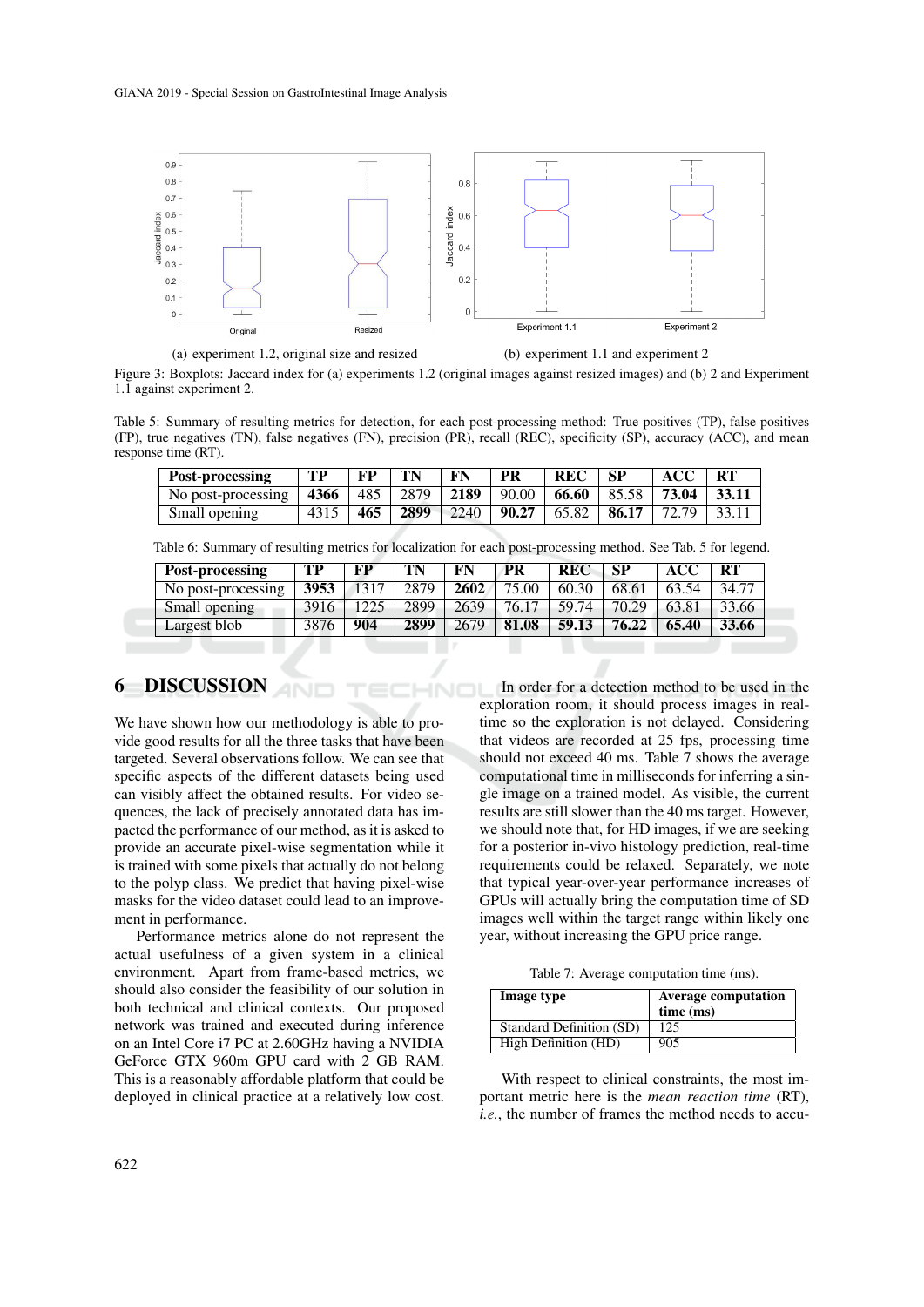

(a) experiment 1.2, original size and resized (b) experiment 1.1 and experiment 2

Figure 3: Boxplots: Jaccard index for (a) experiments 1.2 (original images against resized images) and (b) 2 and Experiment 1.1 against experiment 2.

Table 5: Summary of resulting metrics for detection, for each post-processing method: True positives (TP), false positives (FP), true negatives (TN), false negatives (FN), precision (PR), recall (REC), specificity (SP), accuracy (ACC), and mean response time (RT).

| Post-processing                                               | TP   | FP | TN | FN | PR | REC | - SP | <b>ACC</b>                                        | - RT          |
|---------------------------------------------------------------|------|----|----|----|----|-----|------|---------------------------------------------------|---------------|
| No post-processing 4366 485 2879 2189 90.00 66.60 85.58 73.04 |      |    |    |    |    |     |      |                                                   | $\vert$ 33.11 |
| Small opening                                                 | 4315 |    |    |    |    |     |      | $\frac{1}{465}$ 2899 2240 90.27 65.82 86.17 72.79 | 33.11         |

Table 6: Summary of resulting metrics for localization for each post-processing method. See Tab. 5 for legend.

| Post-processing    | TР   | FP   | TN   | FN   | PR    | REC   | SP    | <b>ACC</b> | <b>RT</b> |
|--------------------|------|------|------|------|-------|-------|-------|------------|-----------|
| No post-processing | 3953 | 1317 | 2879 | 2602 | 75.00 | 60.30 | 68.61 | 63.54      | 34.77     |
| Small opening      | 3916 | 1225 | 2899 | 2639 | 76.17 | 59.74 | 70.29 | 63.81      | 33.66     |
| Largest blob       | 3876 | 904  | 2899 | 2679 | 81.08 | 59.13 | 76.22 | 65.40      | 33.66     |

## 6 DISCUSSION

We have shown how our methodology is able to provide good results for all the three tasks that have been targeted. Several observations follow. We can see that specific aspects of the different datasets being used can visibly affect the obtained results. For video sequences, the lack of precisely annotated data has impacted the performance of our method, as it is asked to provide an accurate pixel-wise segmentation while it is trained with some pixels that actually do not belong to the polyp class. We predict that having pixel-wise masks for the video dataset could lead to an improvement in performance.

Performance metrics alone do not represent the actual usefulness of a given system in a clinical environment. Apart from frame-based metrics, we should also consider the feasibility of our solution in both technical and clinical contexts. Our proposed network was trained and executed during inference on an Intel Core i7 PC at 2.60GHz having a NVIDIA GeForce GTX 960m GPU card with 2 GB RAM. This is a reasonably affordable platform that could be deployed in clinical practice at a relatively low cost.

In order for a detection method to be used in the exploration room, it should process images in realtime so the exploration is not delayed. Considering that videos are recorded at 25 fps, processing time should not exceed 40 ms. Table 7 shows the average computational time in milliseconds for inferring a single image on a trained model. As visible, the current results are still slower than the 40 ms target. However, we should note that, for HD images, if we are seeking for a posterior in-vivo histology prediction, real-time requirements could be relaxed. Separately, we note that typical year-over-year performance increases of GPUs will actually bring the computation time of SD images well within the target range within likely one year, without increasing the GPU price range.

Table 7: Average computation time (ms).

| Image type                      | <b>Average computation</b><br>time (ms) |
|---------------------------------|-----------------------------------------|
| <b>Standard Definition (SD)</b> | 125                                     |
| High Definition (HD)            | 905                                     |

With respect to clinical constraints, the most important metric here is the *mean reaction time* (RT), *i.e.*, the number of frames the method needs to accu-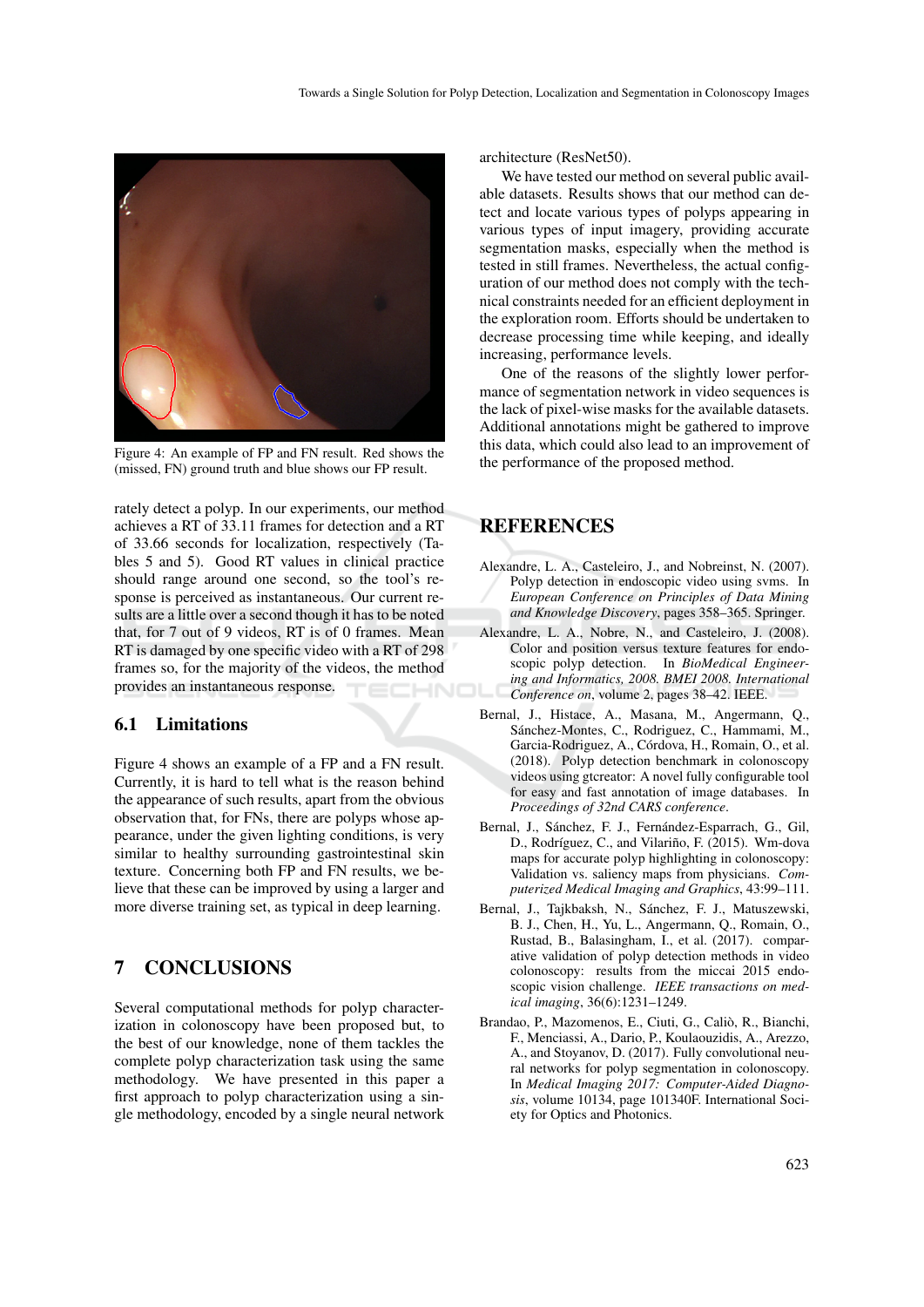

Figure 4: An example of FP and FN result. Red shows the (missed, FN) ground truth and blue shows our FP result.

rately detect a polyp. In our experiments, our method achieves a RT of 33.11 frames for detection and a RT of 33.66 seconds for localization, respectively (Tables 5 and 5). Good RT values in clinical practice should range around one second, so the tool's response is perceived as instantaneous. Our current results are a little over a second though it has to be noted that, for 7 out of 9 videos, RT is of 0 frames. Mean RT is damaged by one specific video with a RT of 298 frames so, for the majority of the videos, the method provides an instantaneous response.

### 6.1 Limitations

Figure 4 shows an example of a FP and a FN result. Currently, it is hard to tell what is the reason behind the appearance of such results, apart from the obvious observation that, for FNs, there are polyps whose appearance, under the given lighting conditions, is very similar to healthy surrounding gastrointestinal skin texture. Concerning both FP and FN results, we believe that these can be improved by using a larger and more diverse training set, as typical in deep learning.

# 7 CONCLUSIONS

Several computational methods for polyp characterization in colonoscopy have been proposed but, to the best of our knowledge, none of them tackles the complete polyp characterization task using the same methodology. We have presented in this paper a first approach to polyp characterization using a single methodology, encoded by a single neural network

architecture (ResNet50).

We have tested our method on several public available datasets. Results shows that our method can detect and locate various types of polyps appearing in various types of input imagery, providing accurate segmentation masks, especially when the method is tested in still frames. Nevertheless, the actual configuration of our method does not comply with the technical constraints needed for an efficient deployment in the exploration room. Efforts should be undertaken to decrease processing time while keeping, and ideally increasing, performance levels.

One of the reasons of the slightly lower performance of segmentation network in video sequences is the lack of pixel-wise masks for the available datasets. Additional annotations might be gathered to improve this data, which could also lead to an improvement of the performance of the proposed method.

# **REFERENCES**

- Alexandre, L. A., Casteleiro, J., and Nobreinst, N. (2007). Polyp detection in endoscopic video using svms. In *European Conference on Principles of Data Mining and Knowledge Discovery*, pages 358–365. Springer.
- Alexandre, L. A., Nobre, N., and Casteleiro, J. (2008). Color and position versus texture features for endoscopic polyp detection. In *BioMedical Engineering and Informatics, 2008. BMEI 2008. International Conference on*, volume 2, pages 38–42. IEEE.
- Bernal, J., Histace, A., Masana, M., Angermann, Q., Sánchez-Montes, C., Rodriguez, C., Hammami, M., Garcia-Rodriguez, A., Córdova, H., Romain, O., et al. (2018). Polyp detection benchmark in colonoscopy videos using gtcreator: A novel fully configurable tool for easy and fast annotation of image databases. In *Proceedings of 32nd CARS conference*.
- Bernal, J., Sánchez, F. J., Fernández-Esparrach, G., Gil, D., Rodríguez, C., and Vilariño, F. (2015). Wm-dova maps for accurate polyp highlighting in colonoscopy: Validation vs. saliency maps from physicians. *Computerized Medical Imaging and Graphics*, 43:99–111.
- Bernal, J., Tajkbaksh, N., Sánchez, F. J., Matuszewski, B. J., Chen, H., Yu, L., Angermann, Q., Romain, O., Rustad, B., Balasingham, I., et al. (2017). comparative validation of polyp detection methods in video colonoscopy: results from the miccai 2015 endoscopic vision challenge. *IEEE transactions on medical imaging*, 36(6):1231–1249.
- Brandao, P., Mazomenos, E., Ciuti, G., Calio, R., Bianchi, ` F., Menciassi, A., Dario, P., Koulaouzidis, A., Arezzo, A., and Stoyanov, D. (2017). Fully convolutional neural networks for polyp segmentation in colonoscopy. In *Medical Imaging 2017: Computer-Aided Diagnosis*, volume 10134, page 101340F. International Society for Optics and Photonics.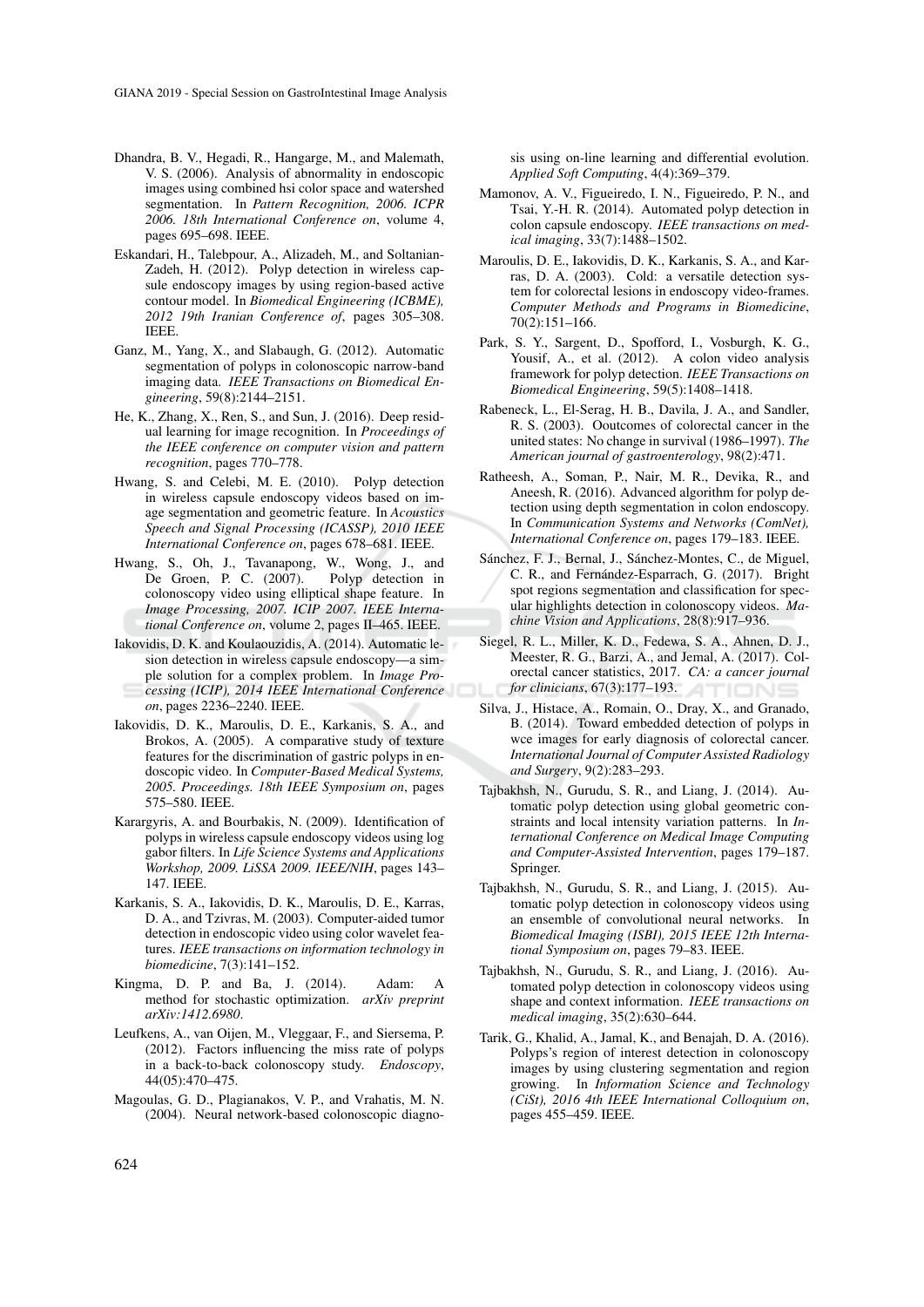- Dhandra, B. V., Hegadi, R., Hangarge, M., and Malemath, V. S. (2006). Analysis of abnormality in endoscopic images using combined hsi color space and watershed segmentation. In *Pattern Recognition, 2006. ICPR 2006. 18th International Conference on*, volume 4, pages 695–698. IEEE.
- Eskandari, H., Talebpour, A., Alizadeh, M., and Soltanian-Zadeh, H. (2012). Polyp detection in wireless capsule endoscopy images by using region-based active contour model. In *Biomedical Engineering (ICBME), 2012 19th Iranian Conference of*, pages 305–308. IEEE.
- Ganz, M., Yang, X., and Slabaugh, G. (2012). Automatic segmentation of polyps in colonoscopic narrow-band imaging data. *IEEE Transactions on Biomedical Engineering*, 59(8):2144–2151.
- He, K., Zhang, X., Ren, S., and Sun, J. (2016). Deep residual learning for image recognition. In *Proceedings of the IEEE conference on computer vision and pattern recognition*, pages 770–778.
- Hwang, S. and Celebi, M. E. (2010). Polyp detection in wireless capsule endoscopy videos based on image segmentation and geometric feature. In *Acoustics Speech and Signal Processing (ICASSP), 2010 IEEE International Conference on*, pages 678–681. IEEE.
- Hwang, S., Oh, J., Tavanapong, W., Wong, J., and De Groen, P. C. (2007). Polyp detection in colonoscopy video using elliptical shape feature. In *Image Processing, 2007. ICIP 2007. IEEE International Conference on*, volume 2, pages II–465. IEEE.
- Iakovidis, D. K. and Koulaouzidis, A. (2014). Automatic lesion detection in wireless capsule endoscopy—a simple solution for a complex problem. In *Image Processing (ICIP), 2014 IEEE International Conference on*, pages 2236–2240. IEEE.
- Iakovidis, D. K., Maroulis, D. E., Karkanis, S. A., and Brokos, A. (2005). A comparative study of texture features for the discrimination of gastric polyps in endoscopic video. In *Computer-Based Medical Systems, 2005. Proceedings. 18th IEEE Symposium on*, pages 575–580. IEEE.
- Karargyris, A. and Bourbakis, N. (2009). Identification of polyps in wireless capsule endoscopy videos using log gabor filters. In *Life Science Systems and Applications Workshop, 2009. LiSSA 2009. IEEE/NIH*, pages 143– 147. IEEE.
- Karkanis, S. A., Iakovidis, D. K., Maroulis, D. E., Karras, D. A., and Tzivras, M. (2003). Computer-aided tumor detection in endoscopic video using color wavelet features. *IEEE transactions on information technology in biomedicine*, 7(3):141–152.
- Kingma, D. P. and Ba, J. (2014). Adam: A method for stochastic optimization. *arXiv preprint arXiv:1412.6980*.
- Leufkens, A., van Oijen, M., Vleggaar, F., and Siersema, P. (2012). Factors influencing the miss rate of polyps in a back-to-back colonoscopy study. *Endoscopy*, 44(05):470–475.
- Magoulas, G. D., Plagianakos, V. P., and Vrahatis, M. N. (2004). Neural network-based colonoscopic diagno-

sis using on-line learning and differential evolution. *Applied Soft Computing*, 4(4):369–379.

- Mamonov, A. V., Figueiredo, I. N., Figueiredo, P. N., and Tsai, Y.-H. R. (2014). Automated polyp detection in colon capsule endoscopy. *IEEE transactions on medical imaging*, 33(7):1488–1502.
- Maroulis, D. E., Iakovidis, D. K., Karkanis, S. A., and Karras, D. A. (2003). Cold: a versatile detection system for colorectal lesions in endoscopy video-frames. *Computer Methods and Programs in Biomedicine*, 70(2):151–166.
- Park, S. Y., Sargent, D., Spofford, I., Vosburgh, K. G., Yousif, A., et al. (2012). A colon video analysis framework for polyp detection. *IEEE Transactions on Biomedical Engineering*, 59(5):1408–1418.
- Rabeneck, L., El-Serag, H. B., Davila, J. A., and Sandler, R. S. (2003). Ooutcomes of colorectal cancer in the united states: No change in survival (1986–1997). *The American journal of gastroenterology*, 98(2):471.
- Ratheesh, A., Soman, P., Nair, M. R., Devika, R., and Aneesh, R. (2016). Advanced algorithm for polyp detection using depth segmentation in colon endoscopy. In *Communication Systems and Networks (ComNet), International Conference on*, pages 179–183. IEEE.
- Sánchez, F. J., Bernal, J., Sánchez-Montes, C., de Miguel, C. R., and Fernández-Esparrach, G. (2017). Bright spot regions segmentation and classification for specular highlights detection in colonoscopy videos. *Machine Vision and Applications*, 28(8):917–936.
- Siegel, R. L., Miller, K. D., Fedewa, S. A., Ahnen, D. J., Meester, R. G., Barzi, A., and Jemal, A. (2017). Colorectal cancer statistics, 2017. *CA: a cancer journal for clinicians*, 67(3):177–193.
- Silva, J., Histace, A., Romain, O., Dray, X., and Granado, B. (2014). Toward embedded detection of polyps in wce images for early diagnosis of colorectal cancer. *International Journal of Computer Assisted Radiology and Surgery*, 9(2):283–293.
- Tajbakhsh, N., Gurudu, S. R., and Liang, J. (2014). Automatic polyp detection using global geometric constraints and local intensity variation patterns. In *International Conference on Medical Image Computing and Computer-Assisted Intervention*, pages 179–187. Springer.
- Tajbakhsh, N., Gurudu, S. R., and Liang, J. (2015). Automatic polyp detection in colonoscopy videos using an ensemble of convolutional neural networks. In *Biomedical Imaging (ISBI), 2015 IEEE 12th International Symposium on*, pages 79–83. IEEE.
- Tajbakhsh, N., Gurudu, S. R., and Liang, J. (2016). Automated polyp detection in colonoscopy videos using shape and context information. *IEEE transactions on medical imaging*, 35(2):630–644.
- Tarik, G., Khalid, A., Jamal, K., and Benajah, D. A. (2016). Polyps's region of interest detection in colonoscopy images by using clustering segmentation and region growing. In *Information Science and Technology (CiSt), 2016 4th IEEE International Colloquium on*, pages 455–459. IEEE.